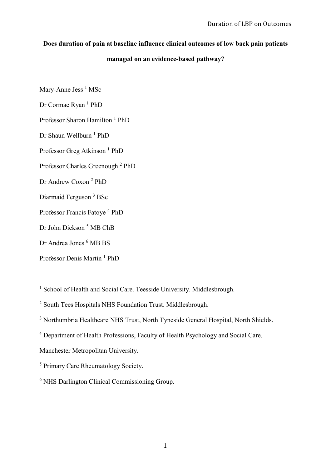# **Does duration of pain at baseline influence clinical outcomes of low back pain patients**

# **managed on an evidence-based pathway?**

Mary-Anne Jess<sup>1</sup> MSc

Dr Cormac Ryan<sup>1</sup> PhD

Professor Sharon Hamilton<sup>1</sup> PhD

Dr Shaun Wellburn <sup>1</sup> PhD

Professor Greg Atkinson<sup>1</sup> PhD

Professor Charles Greenough<sup>2</sup> PhD

Dr Andrew Coxon<sup>2</sup> PhD

Diarmaid Ferguson <sup>3</sup> BSc

Professor Francis Fatoye<sup>4</sup> PhD

Dr John Dickson<sup>5</sup> MB ChB

Dr Andrea Jones <sup>6</sup> MB BS

Professor Denis Martin<sup>1</sup> PhD

<sup>1</sup> School of Health and Social Care. Teesside University. Middlesbrough.

<sup>2</sup> South Tees Hospitals NHS Foundation Trust. Middlesbrough.

<sup>3</sup> Northumbria Healthcare NHS Trust, North Tyneside General Hospital, North Shields.

<sup>4</sup> Department of Health Professions, Faculty of Health Psychology and Social Care.

Manchester Metropolitan University.

<sup>5</sup> Primary Care Rheumatology Society.

<sup>6</sup> NHS Darlington Clinical Commissioning Group.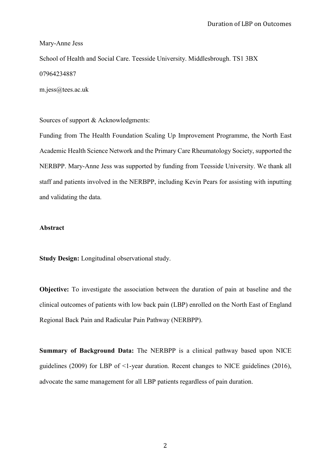#### Mary-Anne Jess

School of Health and Social Care. Teesside University. Middlesbrough. TS1 3BX 07964234887

m.jess@tees.ac.uk

Sources of support & Acknowledgments:

Funding from The Health Foundation Scaling Up Improvement Programme, the North East Academic Health Science Network and the Primary Care Rheumatology Society, supported the NERBPP. Mary-Anne Jess was supported by funding from Teesside University. We thank all staff and patients involved in the NERBPP, including Kevin Pears for assisting with inputting and validating the data.

### **Abstract**

**Study Design:** Longitudinal observational study.

**Objective:** To investigate the association between the duration of pain at baseline and the clinical outcomes of patients with low back pain (LBP) enrolled on the North East of England Regional Back Pain and Radicular Pain Pathway (NERBPP).

**Summary of Background Data:** The NERBPP is a clinical pathway based upon NICE guidelines (2009) for LBP of <1-year duration. Recent changes to NICE guidelines (2016), advocate the same management for all LBP patients regardless of pain duration.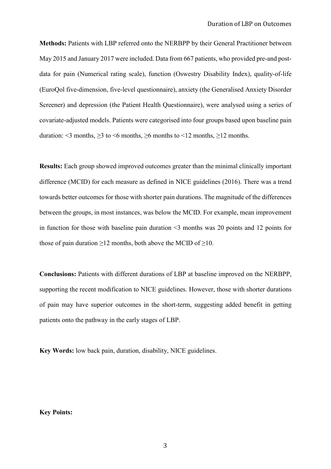**Methods:** Patients with LBP referred onto the NERBPP by their General Practitioner between May 2015 and January 2017 were included. Data from 667 patients, who provided pre-and postdata for pain (Numerical rating scale), function (Oswestry Disability Index), quality-of-life (EuroQol five-dimension, five-level questionnaire), anxiety (the Generalised Anxiety Disorder Screener) and depression (the Patient Health Questionnaire), were analysed using a series of covariate-adjusted models. Patients were categorised into four groups based upon baseline pain duration:  $\leq$  months,  $\geq$  3 to  $\leq$  months,  $\geq$  months to  $\leq$  12 months.  $\geq$  12 months.

**Results:** Each group showed improved outcomes greater than the minimal clinically important difference (MCID) for each measure as defined in NICE guidelines (2016). There was a trend towards better outcomes for those with shorter pain durations. The magnitude of the differences between the groups, in most instances, was below the MCID. For example, mean improvement in function for those with baseline pain duration <3 months was 20 points and 12 points for those of pain duration  $\geq 12$  months, both above the MCID of  $\geq 10$ .

**Conclusions:** Patients with different durations of LBP at baseline improved on the NERBPP, supporting the recent modification to NICE guidelines. However, those with shorter durations of pain may have superior outcomes in the short-term, suggesting added benefit in getting patients onto the pathway in the early stages of LBP.

**Key Words:** low back pain, duration, disability, NICE guidelines.

### **Key Points:**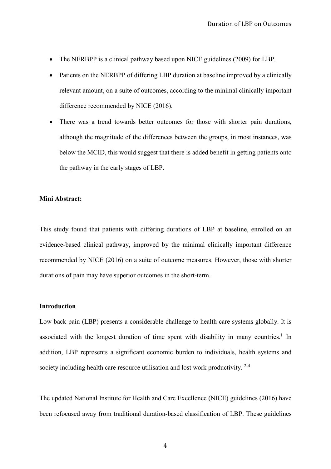- The NERBPP is a clinical pathway based upon NICE guidelines (2009) for LBP.
- Patients on the NERBPP of differing LBP duration at baseline improved by a clinically relevant amount, on a suite of outcomes, according to the minimal clinically important difference recommended by NICE (2016).
- There was a trend towards better outcomes for those with shorter pain durations, although the magnitude of the differences between the groups, in most instances, was below the MCID, this would suggest that there is added benefit in getting patients onto the pathway in the early stages of LBP.

### **Mini Abstract:**

This study found that patients with differing durations of LBP at baseline, enrolled on an evidence-based clinical pathway, improved by the minimal clinically important difference recommended by NICE (2016) on a suite of outcome measures. However, those with shorter durations of pain may have superior outcomes in the short-term.

#### **Introduction**

Low back pain (LBP) presents a considerable challenge to health care systems globally. It is associated with the longest duration of time spent with disability in many countries.<sup>1</sup> In addition, LBP represents a significant economic burden to individuals, health systems and society including health care resource utilisation and lost work productivity. 2-4

The updated National Institute for Health and Care Excellence (NICE) guidelines (2016) have been refocused away from traditional duration-based classification of LBP. These guidelines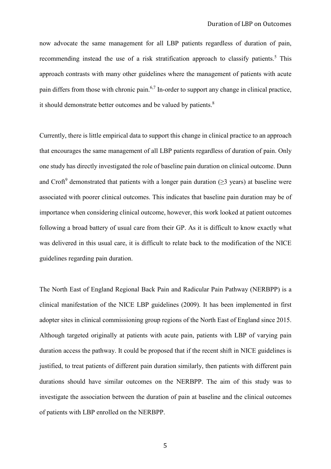now advocate the same management for all LBP patients regardless of duration of pain, recommending instead the use of a risk stratification approach to classify patients.<sup>5</sup> This approach contrasts with many other guidelines where the management of patients with acute pain differs from those with chronic pain.6,7 In-order to support any change in clinical practice, it should demonstrate better outcomes and be valued by patients.<sup>8</sup>

Currently, there is little empirical data to support this change in clinical practice to an approach that encourages the same management of all LBP patients regardless of duration of pain. Only one study has directly investigated the role of baseline pain duration on clinical outcome. Dunn and Croft<sup>9</sup> demonstrated that patients with a longer pain duration ( $\geq$ 3 years) at baseline were associated with poorer clinical outcomes. This indicates that baseline pain duration may be of importance when considering clinical outcome, however, this work looked at patient outcomes following a broad battery of usual care from their GP. As it is difficult to know exactly what was delivered in this usual care, it is difficult to relate back to the modification of the NICE guidelines regarding pain duration.

The North East of England Regional Back Pain and Radicular Pain Pathway (NERBPP) is a clinical manifestation of the NICE LBP guidelines (2009). It has been implemented in first adopter sites in clinical commissioning group regions of the North East of England since 2015. Although targeted originally at patients with acute pain, patients with LBP of varying pain duration access the pathway. It could be proposed that if the recent shift in NICE guidelines is justified, to treat patients of different pain duration similarly, then patients with different pain durations should have similar outcomes on the NERBPP. The aim of this study was to investigate the association between the duration of pain at baseline and the clinical outcomes of patients with LBP enrolled on the NERBPP.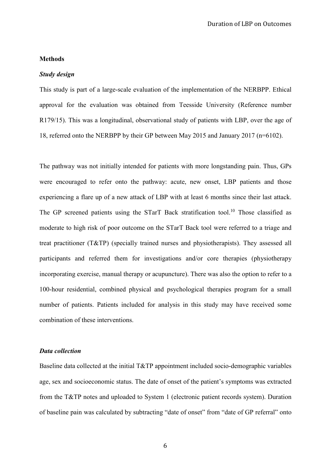# **Methods**

# *Study design*

This study is part of a large-scale evaluation of the implementation of the NERBPP. Ethical approval for the evaluation was obtained from Teesside University (Reference number R179/15). This was a longitudinal, observational study of patients with LBP, over the age of 18, referred onto the NERBPP by their GP between May 2015 and January 2017 (n=6102).

The pathway was not initially intended for patients with more longstanding pain. Thus, GPs were encouraged to refer onto the pathway: acute, new onset, LBP patients and those experiencing a flare up of a new attack of LBP with at least 6 months since their last attack. The GP screened patients using the STarT Back stratification tool.<sup>10</sup> Those classified as moderate to high risk of poor outcome on the STarT Back tool were referred to a triage and treat practitioner (T&TP) (specially trained nurses and physiotherapists). They assessed all participants and referred them for investigations and/or core therapies (physiotherapy incorporating exercise, manual therapy or acupuncture). There was also the option to refer to a 100-hour residential, combined physical and psychological therapies program for a small number of patients. Patients included for analysis in this study may have received some combination of these interventions.

# *Data collection*

Baseline data collected at the initial T&TP appointment included socio-demographic variables age, sex and socioeconomic status. The date of onset of the patient's symptoms was extracted from the T&TP notes and uploaded to System 1 (electronic patient records system). Duration of baseline pain was calculated by subtracting "date of onset" from "date of GP referral" onto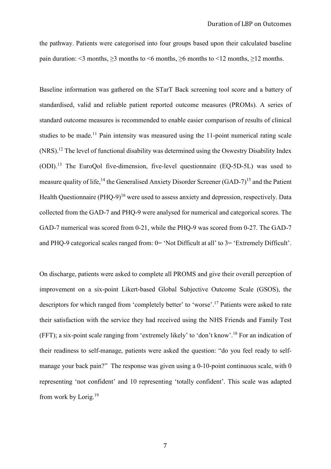the pathway. Patients were categorised into four groups based upon their calculated baseline pain duration:  $\leq$ 3 months,  $\geq$ 3 months to  $\leq$ 6 months,  $\geq$ 6 months to  $\leq$ 12 months,  $\geq$ 12 months.

Baseline information was gathered on the STarT Back screening tool score and a battery of standardised, valid and reliable patient reported outcome measures (PROMs). A series of standard outcome measures is recommended to enable easier comparison of results of clinical studies to be made.<sup>11</sup> Pain intensity was measured using the 11-point numerical rating scale (NRS).<sup>12</sup> The level of functional disability was determined using the Oswestry Disability Index (ODI).13 The EuroQol five-dimension, five-level questionnaire (EQ-5D-5L) was used to measure quality of life,<sup>14</sup> the Generalised Anxiety Disorder Screener (GAD-7)<sup>15</sup> and the Patient Health Questionnaire  $(PHQ-9)^{16}$  were used to assess anxiety and depression, respectively. Data collected from the GAD-7 and PHQ-9 were analysed for numerical and categorical scores. The GAD-7 numerical was scored from 0-21, while the PHQ-9 was scored from 0-27. The GAD-7 and PHQ-9 categorical scales ranged from: 0= 'Not Difficult at all' to 3= 'Extremely Difficult'.

On discharge, patients were asked to complete all PROMS and give their overall perception of improvement on a six-point Likert-based Global Subjective Outcome Scale (GSOS), the descriptors for which ranged from 'completely better' to 'worse'.<sup>17</sup> Patients were asked to rate their satisfaction with the service they had received using the NHS Friends and Family Test (FFT); a six-point scale ranging from 'extremely likely' to 'don't know'.<sup>18</sup> For an indication of their readiness to self-manage, patients were asked the question: "do you feel ready to selfmanage your back pain?" The response was given using a 0-10-point continuous scale, with 0 representing 'not confident' and 10 representing 'totally confident'. This scale was adapted from work by Lorig.19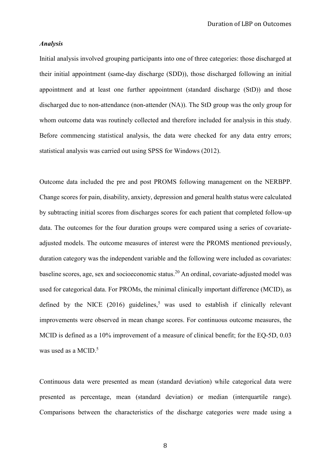### *Analysis*

Initial analysis involved grouping participants into one of three categories: those discharged at their initial appointment (same-day discharge (SDD)), those discharged following an initial appointment and at least one further appointment (standard discharge (StD)) and those discharged due to non-attendance (non-attender (NA)). The StD group was the only group for whom outcome data was routinely collected and therefore included for analysis in this study. Before commencing statistical analysis, the data were checked for any data entry errors; statistical analysis was carried out using SPSS for Windows (2012).

Outcome data included the pre and post PROMS following management on the NERBPP. Change scores for pain, disability, anxiety, depression and general health status were calculated by subtracting initial scores from discharges scores for each patient that completed follow-up data. The outcomes for the four duration groups were compared using a series of covariateadjusted models. The outcome measures of interest were the PROMS mentioned previously, duration category was the independent variable and the following were included as covariates: baseline scores, age, sex and socioeconomic status.<sup>20</sup> An ordinal, covariate-adjusted model was used for categorical data. For PROMs, the minimal clinically important difference (MCID), as defined by the NICE  $(2016)$  guidelines,<sup>5</sup> was used to establish if clinically relevant improvements were observed in mean change scores. For continuous outcome measures, the MCID is defined as a 10% improvement of a measure of clinical benefit; for the EQ-5D, 0.03 was used as a MCID. $5$ 

Continuous data were presented as mean (standard deviation) while categorical data were presented as percentage, mean (standard deviation) or median (interquartile range). Comparisons between the characteristics of the discharge categories were made using a

8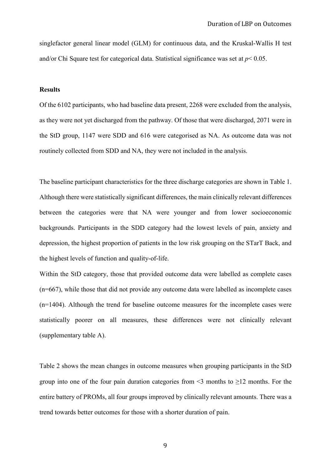singlefactor general linear model (GLM) for continuous data, and the Kruskal-Wallis H test and/or Chi Square test for categorical data. Statistical significance was set at *p*< 0.05.

# **Results**

Of the 6102 participants, who had baseline data present, 2268 were excluded from the analysis, as they were not yet discharged from the pathway. Of those that were discharged, 2071 were in the StD group, 1147 were SDD and 616 were categorised as NA. As outcome data was not routinely collected from SDD and NA, they were not included in the analysis.

The baseline participant characteristics for the three discharge categories are shown in Table 1. Although there were statistically significant differences, the main clinically relevant differences between the categories were that NA were younger and from lower socioeconomic backgrounds. Participants in the SDD category had the lowest levels of pain, anxiety and depression, the highest proportion of patients in the low risk grouping on the STarT Back, and the highest levels of function and quality-of-life.

Within the StD category, those that provided outcome data were labelled as complete cases (n=667), while those that did not provide any outcome data were labelled as incomplete cases (n=1404). Although the trend for baseline outcome measures for the incomplete cases were statistically poorer on all measures, these differences were not clinically relevant (supplementary table A).

Table 2 shows the mean changes in outcome measures when grouping participants in the StD group into one of the four pain duration categories from  $\leq$  months to  $\geq$ 12 months. For the entire battery of PROMs, all four groups improved by clinically relevant amounts. There was a trend towards better outcomes for those with a shorter duration of pain.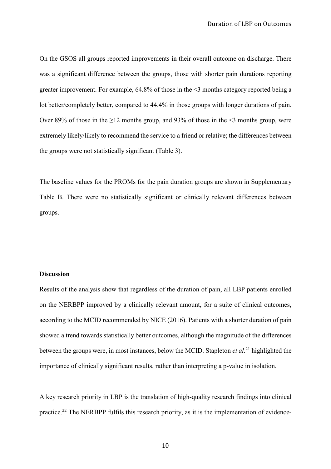On the GSOS all groups reported improvements in their overall outcome on discharge. There was a significant difference between the groups, those with shorter pain durations reporting greater improvement. For example, 64.8% of those in the <3 months category reported being a lot better/completely better, compared to 44.4% in those groups with longer durations of pain. Over 89% of those in the  $\geq$ 12 months group, and 93% of those in the  $\leq$ 3 months group, were extremely likely/likely to recommend the service to a friend or relative; the differences between the groups were not statistically significant (Table 3).

The baseline values for the PROMs for the pain duration groups are shown in Supplementary Table B. There were no statistically significant or clinically relevant differences between groups.

#### **Discussion**

Results of the analysis show that regardless of the duration of pain, all LBP patients enrolled on the NERBPP improved by a clinically relevant amount, for a suite of clinical outcomes, according to the MCID recommended by NICE (2016). Patients with a shorter duration of pain showed a trend towards statistically better outcomes, although the magnitude of the differences between the groups were, in most instances, below the MCID. Stapleton *et al.*<sup>21</sup> highlighted the importance of clinically significant results, rather than interpreting a p-value in isolation.

A key research priority in LBP is the translation of high-quality research findings into clinical practice.<sup>22</sup> The NERBPP fulfils this research priority, as it is the implementation of evidence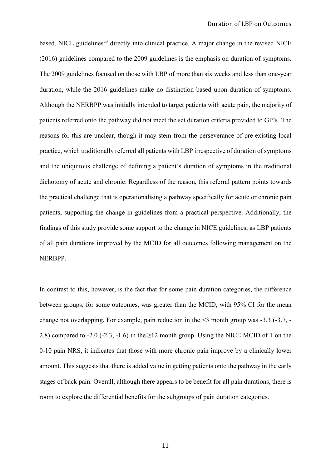based, NICE guidelines<sup>23</sup> directly into clinical practice. A major change in the revised NICE (2016) guidelines compared to the 2009 guidelines is the emphasis on duration of symptoms. The 2009 guidelines focused on those with LBP of more than six weeks and less than one-year duration, while the 2016 guidelines make no distinction based upon duration of symptoms. Although the NERBPP was initially intended to target patients with acute pain, the majority of patients referred onto the pathway did not meet the set duration criteria provided to GP's. The reasons for this are unclear, though it may stem from the perseverance of pre-existing local practice, which traditionally referred all patients with LBP irrespective of duration of symptoms and the ubiquitous challenge of defining a patient's duration of symptoms in the traditional dichotomy of acute and chronic. Regardless of the reason, this referral pattern points towards the practical challenge that is operationalising a pathway specifically for acute or chronic pain patients, supporting the change in guidelines from a practical perspective. Additionally, the findings of this study provide some support to the change in NICE guidelines, as LBP patients of all pain durations improved by the MCID for all outcomes following management on the NERBPP.

In contrast to this, however, is the fact that for some pain duration categories, the difference between groups, for some outcomes, was greater than the MCID, with 95% CI for the mean change not overlapping. For example, pain reduction in the  $\leq$ 3 month group was  $-3.3$  ( $-3.7$ ,  $-$ 2.8) compared to -2.0 (-2.3, -1.6) in the  $\geq$ 12 month group. Using the NICE MCID of 1 on the 0-10 pain NRS, it indicates that those with more chronic pain improve by a clinically lower amount. This suggests that there is added value in getting patients onto the pathway in the early stages of back pain. Overall, although there appears to be benefit for all pain durations, there is room to explore the differential benefits for the subgroups of pain duration categories.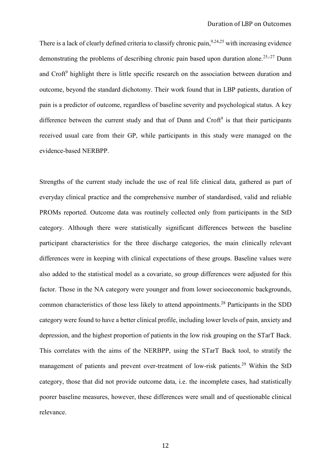There is a lack of clearly defined criteria to classify chronic pain,  $9,24,25$  with increasing evidence demonstrating the problems of describing chronic pain based upon duration alone.<sup>25,-27</sup> Dunn and Croft<sup>9</sup> highlight there is little specific research on the association between duration and outcome, beyond the standard dichotomy. Their work found that in LBP patients, duration of pain is a predictor of outcome, regardless of baseline severity and psychological status. A key difference between the current study and that of Dunn and  $Cref<sup>9</sup>$  is that their participants received usual care from their GP, while participants in this study were managed on the evidence-based NERBPP.

Strengths of the current study include the use of real life clinical data, gathered as part of everyday clinical practice and the comprehensive number of standardised, valid and reliable PROMs reported. Outcome data was routinely collected only from participants in the StD category. Although there were statistically significant differences between the baseline participant characteristics for the three discharge categories, the main clinically relevant differences were in keeping with clinical expectations of these groups. Baseline values were also added to the statistical model as a covariate, so group differences were adjusted for this factor. Those in the NA category were younger and from lower socioeconomic backgrounds, common characteristics of those less likely to attend appointments.28 Participants in the SDD category were found to have a better clinical profile, including lower levels of pain, anxiety and depression, and the highest proportion of patients in the low risk grouping on the STarT Back. This correlates with the aims of the NERBPP, using the STarT Back tool, to stratify the management of patients and prevent over-treatment of low-risk patients.<sup>29</sup> Within the StD category, those that did not provide outcome data, i.e. the incomplete cases, had statistically poorer baseline measures, however, these differences were small and of questionable clinical relevance.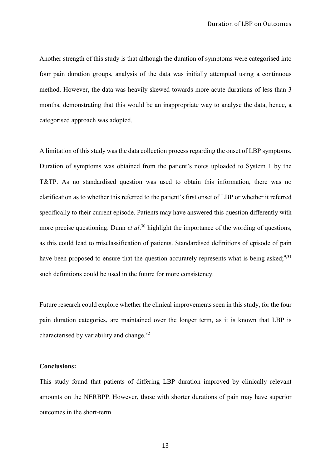Another strength of this study is that although the duration of symptoms were categorised into four pain duration groups, analysis of the data was initially attempted using a continuous method. However, the data was heavily skewed towards more acute durations of less than 3 months, demonstrating that this would be an inappropriate way to analyse the data, hence, a categorised approach was adopted.

A limitation of this study was the data collection process regarding the onset of LBP symptoms. Duration of symptoms was obtained from the patient's notes uploaded to System 1 by the T&TP. As no standardised question was used to obtain this information, there was no clarification as to whether this referred to the patient's first onset of LBP or whether it referred specifically to their current episode. Patients may have answered this question differently with more precise questioning. Dunn *et al*. <sup>30</sup> highlight the importance of the wording of questions, as this could lead to misclassification of patients. Standardised definitions of episode of pain have been proposed to ensure that the question accurately represents what is being asked;  $9,31$ such definitions could be used in the future for more consistency.

Future research could explore whether the clinical improvements seen in this study, for the four pain duration categories, are maintained over the longer term, as it is known that LBP is characterised by variability and change.32

#### **Conclusions:**

This study found that patients of differing LBP duration improved by clinically relevant amounts on the NERBPP. However, those with shorter durations of pain may have superior outcomes in the short-term.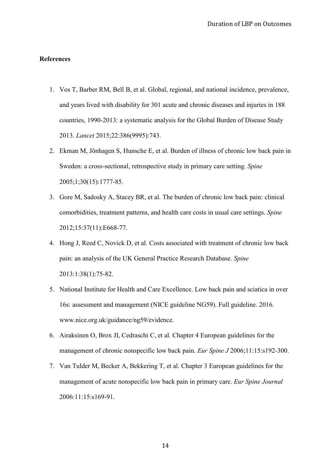# **References**

- 1. Vos T, Barber RM, Bell B, et al. Global, regional, and national incidence, prevalence, and years lived with disability for 301 acute and chronic diseases and injuries in 188 countries, 1990-2013: a systematic analysis for the Global Burden of Disease Study 2013. *Lancet* 2015;22:386(9995):743.
- 2. Ekman M, Jönhagen S, Hunsche E, et al. Burden of illness of chronic low back pain in Sweden: a cross-sectional, retrospective study in primary care setting. *Spine* 2005;1;30(15):1777-85.
- 3. Gore M, Sadosky A, Stacey BR, et al. The burden of chronic low back pain: clinical comorbidities, treatment patterns, and health care costs in usual care settings. *Spine* 2012;15:37(11):E668-77.
- 4. Hong J, Reed C, Novick D, et al. Costs associated with treatment of chronic low back pain: an analysis of the UK General Practice Research Database. *Spine* 2013:1:38(1):75-82.
- 5. National Institute for Health and Care Excellence. Low back pain and sciatica in over 16s: assessment and management (NICE guideline NG59). Full guideline. 2016. www.nice.org.uk/guidance/ng59/evidence.
- 6. Airaksinen O, Brox JI, Cedraschi C, et al*.* Chapter 4 European guidelines for the management of chronic nonspecific low back pain. *Eur Spine J* 2006;11:15:s192-300.
- 7. Van Tulder M, Becker A, Bekkering T, et al. Chapter 3 European guidelines for the management of acute nonspecific low back pain in primary care. *Eur Spine Journal* 2006:11:15:s169-91.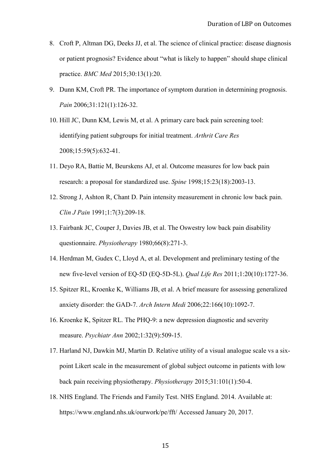- 8. Croft P, Altman DG, Deeks JJ, et al. The science of clinical practice: disease diagnosis or patient prognosis? Evidence about "what is likely to happen" should shape clinical practice. *BMC Med* 2015;30:13(1):20.
- 9. Dunn KM, Croft PR. The importance of symptom duration in determining prognosis. *Pain* 2006;31:121(1):126-32.
- 10. Hill JC, Dunn KM, Lewis M, et al. A primary care back pain screening tool: identifying patient subgroups for initial treatment. *Arthrit Care Res* 2008;15:59(5):632-41.
- 11. Deyo RA, Battie M, Beurskens AJ, et al. Outcome measures for low back pain research: a proposal for standardized use. *Spine* 1998;15:23(18):2003-13.
- 12. Strong J, Ashton R, Chant D. Pain intensity measurement in chronic low back pain. *Clin J Pain* 1991;1:7(3):209-18.
- 13. Fairbank JC, Couper J, Davies JB, et al. The Oswestry low back pain disability questionnaire. *Physiotherapy* 1980;66(8):271-3.
- 14. Herdman M, Gudex C, Lloyd A, et al. Development and preliminary testing of the new five-level version of EQ-5D (EQ-5D-5L). *Qual Life Res* 2011;1:20(10):1727-36.
- 15. Spitzer RL, Kroenke K, Williams JB, et al. A brief measure for assessing generalized anxiety disorder: the GAD-7. *Arch Intern Medi* 2006;22:166(10):1092-7.
- 16. Kroenke K, Spitzer RL. The PHQ-9: a new depression diagnostic and severity measure. *Psychiatr Ann* 2002;1:32(9):509-15.
- 17. Harland NJ, Dawkin MJ, Martin D. Relative utility of a visual analogue scale vs a sixpoint Likert scale in the measurement of global subject outcome in patients with low back pain receiving physiotherapy. *Physiotherapy* 2015;31:101(1):50-4.
- 18. NHS England. The Friends and Family Test. NHS England. 2014. Available at: https://www.england.nhs.uk/ourwork/pe/fft/ Accessed January 20, 2017.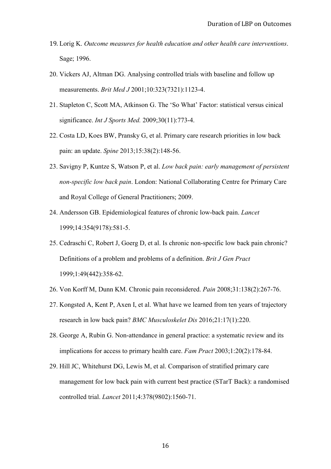- 19. Lorig K. *Outcome measures for health education and other health care interventions*. Sage; 1996.
- 20. Vickers AJ, Altman DG. Analysing controlled trials with baseline and follow up measurements. *Brit Med J* 2001;10:323(7321):1123-4.
- 21. Stapleton C, Scott MA, Atkinson G. The 'So What' Factor: statistical versus cinical significance. *Int J Sports Med.* 2009;30(11):773-4.
- 22. Costa LD, Koes BW, Pransky G, et al. Primary care research priorities in low back pain: an update. *Spine* 2013;15:38(2):148-56.
- 23. Savigny P, Kuntze S, Watson P, et al. *Low back pain: early management of persistent non-specific low back pain*. London: National Collaborating Centre for Primary Care and Royal College of General Practitioners; 2009.
- 24. Andersson GB. Epidemiological features of chronic low-back pain. *Lancet*  1999;14:354(9178):581-5.
- 25. Cedraschi C, Robert J, Goerg D, et al. Is chronic non-specific low back pain chronic? Definitions of a problem and problems of a definition. *Brit J Gen Pract*  1999;1:49(442):358-62.
- 26. Von Korff M, Dunn KM. Chronic pain reconsidered. *Pain* 2008;31:138(2):267-76.
- 27. Kongsted A, Kent P, Axen I, et al. What have we learned from ten years of trajectory research in low back pain? *BMC Musculoskelet Dis* 2016;21:17(1):220.
- 28. George A, Rubin G. Non-attendance in general practice: a systematic review and its implications for access to primary health care. *Fam Pract* 2003;1:20(2):178-84.
- 29. Hill JC, Whitehurst DG, Lewis M, et al. Comparison of stratified primary care management for low back pain with current best practice (STarT Back): a randomised controlled trial. *Lancet* 2011;4:378(9802):1560-71.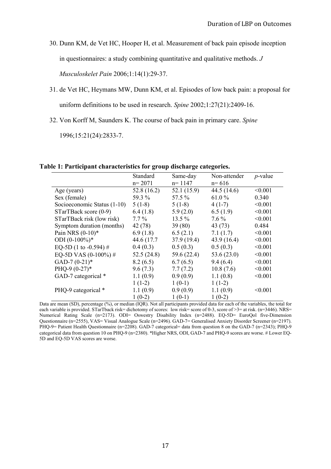30. Dunn KM, de Vet HC, Hooper H, et al. Measurement of back pain episode inception

in questionnaires: a study combining quantitative and qualitative methods. *J* 

*Musculoskelet Pain* 2006;1:14(1):29-37.

- 31. de Vet HC, Heymans MW, Dunn KM, et al. Episodes of low back pain: a proposal for uniform definitions to be used in research. *Spine* 2002;1:27(21):2409-16.
- 32. Von Korff M, Saunders K. The course of back pain in primary care. *Spine*

1996;15:21(24):2833-7.

**Table 1: Participant characteristics for group discharge categories.**

|                             | Standard    | Same-day    | Non-attender  | $p$ -value |
|-----------------------------|-------------|-------------|---------------|------------|
|                             | $n = 2071$  | $n = 1147$  | $n = 616$     |            |
| Age (years)                 | 52.8(16.2)  | 52.1 (15.9) | 44.5(14.6)    | < 0.001    |
| Sex (female)                | 59.3 %      | 57.5 %      | 61.0 $%$      | 0.340      |
| Socioeconomic Status (1-10) | $5(1-8)$    | $5(1-8)$    | $4(1-7)$      | < 0.001    |
| STarTBack score (0-9)       | 6.4(1.8)    | 5.9(2.0)    | 6.5(1.9)      | < 0.001    |
| STarTBack risk (low risk)   | $7.7\%$     | $13.5\%$    | $7.6\%$       | < 0.001    |
| Symptom duration (months)   | 42 (78)     | 39(80)      | 43(73)        | 0.484      |
| Pain NRS $(0-10)*$          | 6.9(1.8)    | 6.5(2.1)    | 7.1(1.7)      | < 0.001    |
| ODI $(0-100\%)^*$           | 44.6 (17.7) | 37.9(19.4)  | 43.9(16.4)    | < 0.001    |
| EQ-5D (1 to -0.594) #       | 0.4(0.3)    | 0.5(0.3)    | 0.5(0.3)      | < 0.001    |
| EQ-5D VAS $(0-100\%)$ #     | 52.5(24.8)  | 59.6 (22.4) | 53.6 $(23.0)$ | < 0.001    |
| GAD-7 $(0-21)$ *            | 8.2(6.5)    | 6.7(6.5)    | 9.4(6.4)      | < 0.001    |
| PHQ-9 $(0-27)*$             | 9.6(7.3)    | 7.7(7.2)    | 10.8(7.6)     | < 0.001    |
| GAD-7 categorical *         | 1.1(0.9)    | 0.9(0.9)    | 1.1(0.8)      | < 0.001    |
|                             | $1(1-2)$    | $1(0-1)$    | $1(1-2)$      |            |
| PHQ-9 categorical *         | 1.1(0.9)    | 0.9(0.9)    | 1.1(0.9)      | < 0.001    |
|                             | $1(0-2)$    | $1(0-1)$    | $1(0-2)$      |            |

Data are mean (SD), percentage (%), or median (IQR). Not all participants provided data for each of the variables, the total for each variable is provided. STarTback risk= dichotomy of scores: low risk= score of 0-3, score of >3= at risk. (n=3446). NRS= Numerical Rating Scale (n=2173). ODI= Oswestry Disability Index (n=2488). EQ-5D= EuroQol five-Dimension Questionnaire (n=2555), VAS= Visual Analogue Scale (n=2496). GAD-7= Generalised Anxiety Disorder Screener (n=2197). PHQ-9= Patient Health Questionnaire (n=2208). GAD-7 categorical= data from question 8 on the GAD-7 (n=2343); PHQ-9 categorical data from question 10 on PHQ-9 (n=2380). \*Higher NRS, ODI, GAD-7 and PHQ-9 scores are worse. # Lower EQ-5D and EQ-5D VAS scores are worse.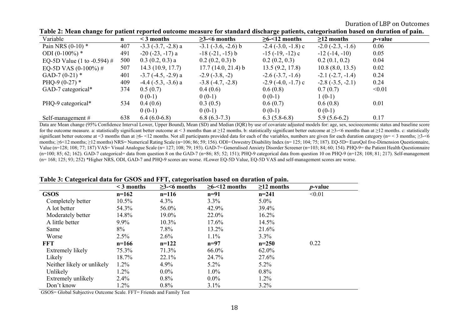Duration of LBP on Outcomes

| Variable                    | $\mathbf n$ | $\leq$ 3 months              | $\geq$ 3- $\leq$ 6 months | $\geq 6$ -<12 months      | $\geq$ 12 months      | <i>p</i> -value |
|-----------------------------|-------------|------------------------------|---------------------------|---------------------------|-----------------------|-----------------|
| Pain NRS $(0-10)$ *         | 407         | $-3.3$ $(-3.7, -2.8)$ a      | $-3.1$ $(-3.6, -2.6)$ b   | $-2.4$ $(-3.0, -1.8)$ c   | $-2.0$ $(-2.3, -1.6)$ | 0.06            |
| ODI $(0-100\%)$ *           | 491         | $-20$ ( $-23$ , $-17$ ) a    | $-18(-21, -15)$ b         | $-15$ ( $-19$ , $-12$ ) c | $-12(-14,-10)$        | 0.05            |
| EQ-5D Value (1 to -0.594) # | 500         | $0.3(0.2, 0.3)$ a            | $0.2(0.2, 0.3)$ b         | 0.2(0.2, 0.3)             | 0.2(0.1, 0.2)         | 0.04            |
| EQ-5D VAS $(0-100\%)$ #     | 507         | 14.3(10.9, 17.7)             | $17.7(14.0, 21.4)$ b      | 13.5(9.2, 17.8)           | 10.8(8.0, 13.5)       | 0.02            |
| GAD-7 $(0-21)$ *            | 401         | $-3.7$ $(-4.5, -2.9)$ a      | $-2.9(-3.8,-2)$           | $-2.6(-3.7, -1.6)$        | $-2.1$ $(-2.7, -1.4)$ | 0.24            |
| PHQ-9 $(0-27)$ *            | 409         | $-4.4$ ( $-5.3$ , $-3.6$ ) a | $-3.8(-4.7, -2.8)$        | $-2.9$ ( $-4.0, -1.7$ ) c | $-2.8(-3.5, -2.1)$    | 0.24            |
| GAD-7 categorical*          | 374         | 0.5(0.7)                     | 0.4(0.6)                  | 0.6(0.8)                  | 0.7(0.7)              | < 0.01          |
|                             |             | $0(0-1)$                     | $0(0-1)$                  | $0(0-1)$                  | $1(0-1)$              |                 |
| PHQ-9 categorical*          | 534         | 0.4(0.6)                     | 0.3(0.5)                  | 0.6(0.7)                  | 0.6(0.8)              | 0.01            |
|                             |             | $0(0-1)$                     | $0(0-1)$                  | $0(0-1)$                  | $0(0-1)$              |                 |
| Self-management $#$         | 638         | $6.4(6.0-6.8)$               | $6.8(6.3-7.3)$            | $6.3(5.8-6.8)$            | $5.9(5.6-6.2)$        | 0.17            |

Data are Mean change (95% Confidence Interval Lower, Upper Bound), Mean (SD) and Median (IQR) by use of covariate adjusted models for: age, sex, socioeconomic status and baseline score for the outcome measure. a: statistically significant better outcome at < 3 months than at  $\geq 12$  months. b: statistically significant better outcome at  $\geq 3$ -<6 months than at  $\geq 12$  months. c: statistically significant better outcome at <3 months than at  $\geq 6$ - $\leq$ 12 months. Not all participants provided data for each of the variables, numbers are given for each duration category (n= < 3 months;  $\geq$ 3- $\leq$ 6 months; ≥6<12 months; ≥12 months) NRS= Numerical Rating Scale (n=106; 86; 59; 156). ODI= Oswestry Disability Index (n= 125; 104; 75; 187). EQ-5D= EuroQol five-Dimension Questionnaire, Value (n=128; 108; 77; 187) VAS= Visual Analogue Scale (n= 127; 108; 79; 193). GAD-7= Generalised Anxiety Disorder Screener (n=103; 84; 60; 154). PHQ-9= the Patient Health Questionnaire  $(n=100; 85; 62; 162)$ . GAD-7 categorical= data from question 8 on the GAD-7  $(n=86; 85; 52; 151)$ ; PHO-9 categorical data from question 10 on PHO-9  $(n=128; 108; 81; 217)$ . Self-management (n= 168; 125; 93; 252) \*Higher NRS, ODI, GAD-7 and PHQ-9 scores are worse. #Lower EQ-5D Value, EQ-5D VAS and self-management scores are worse.

| TROIC OF ORIGINAL WARR TOT GOOD RHW I'L TY CRICE OF DRILLOH DROVE ON BRITANON OF PRIMI |              |                           |                      |                  |                 |
|----------------------------------------------------------------------------------------|--------------|---------------------------|----------------------|------------------|-----------------|
|                                                                                        | $<$ 3 months | $\geq$ 3- $\leq$ 6 months | $\geq 6 - 12$ months | $\geq$ 12 months | <i>p</i> -value |
| <b>GSOS</b>                                                                            | $n=162$      | $n=116$                   | $n=91$               | $n=241$          | < 0.01          |
| Completely better                                                                      | $10.5\%$     | $4.3\%$                   | $3.3\%$              | $5.0\%$          |                 |
| A lot better                                                                           | 54.3%        | 56.0%                     | 42.9%                | 39.4%            |                 |
| Moderately better                                                                      | 14.8%        | 19.0%                     | 22.0%                | 16.2%            |                 |
| A little better                                                                        | $9.9\%$      | $10.3\%$                  | 17.6%                | 14.5%            |                 |
| Same                                                                                   | $8\%$        | $7.8\%$                   | 13.2%                | 21.6%            |                 |
| Worse                                                                                  | 2.5%         | 2.6%                      | $1.1\%$              | 3.3%             |                 |
| FFT                                                                                    | $n=166$      | $n=122$                   | $n=97$               | $n=250$          | 0.22            |
| Extremely likely                                                                       | 75.3%        | 71.3%                     | 66.0%                | 62.0%            |                 |
| Likely                                                                                 | 18.7%        | 22.1%                     | 24.7%                | 27.6%            |                 |
| Neither likely or unlikely                                                             | $1.2\%$      | 4.9%                      | $5.2\%$              | $5.2\%$          |                 |
| Unlikely                                                                               | 1.2%         | $0.0\%$                   | $1.0\%$              | $0.8\%$          |                 |
| Extremely unlikely                                                                     | $2.4\%$      | $0.8\%$                   | $0.0\%$              | $1.2\%$          |                 |
| Don't know                                                                             | 1.2%         | $0.8\%$                   | $3.1\%$              | 3.2%             |                 |

#### **Table 3: Categorical data for GSOS and FFT, categorisation based on duration of pain.**

GSOS= Global Subjective Outcome Scale. FFT= Friends and Family Test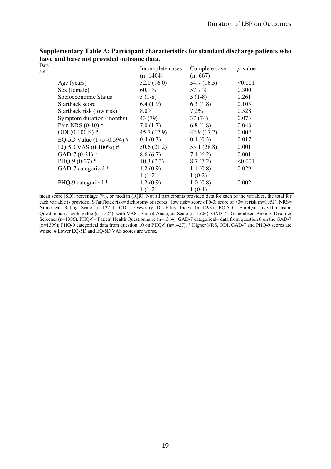| Data<br>are |                             | Incomplete cases<br>$(n=1404)$ | Complete case<br>$(n=667)$ | $p$ -value |
|-------------|-----------------------------|--------------------------------|----------------------------|------------|
|             | Age (years)                 | 52.0(16.0)                     | 54.7 (16.5)                | < 0.001    |
|             | Sex (female)                | $60.1\%$                       | 57.7 %                     | 0.300      |
|             | Socioeconomic Status        | $5(1-8)$                       | $5(1-8)$                   | 0.261      |
|             | Startback score             | 6.4(1.9)                       | 6.3(1.8)                   | 0.103      |
|             | Startback risk (low risk)   | $8.0\%$                        | $7.2\%$                    | 0.528      |
|             | Symptom duration (months)   | 43 (79)                        | 37(74)                     | 0.073      |
|             | Pain NRS $(0-10)$ *         | 7.0(1.7)                       | 6.8(1.8)                   | 0.048      |
|             | ODI $(0-100\%)$ *           | 45.7(17.9)                     | 42.9(17.2)                 | 0.002      |
|             | EQ-5D Value (1 to -0.594) # | 0.4(0.3)                       | 0.4(0.3)                   | 0.017      |
|             | EQ-5D VAS $(0-100\%)$ #     | 50.6(21.2)                     | 55.1(28.8)                 | 0.001      |
|             | GAD-7 $(0-21)$ *            | 8.6(6.7)                       | 7.4(6.2)                   | 0.001      |
|             | PHQ-9 $(0-27)$ *            | 10.3(7.3)                      | 8.7(7.2)                   | < 0.001    |
|             | GAD-7 categorical *         | 1.2(0.9)                       | 1.1(0.8)                   | 0.029      |
|             |                             | $1(1-2)$                       | $1(0-2)$                   |            |
|             | PHQ-9 categorical *         | 1.2(0.9)                       | 1.0(0.8)                   | 0.002      |
|             |                             | $1(1-2)$                       | $1(0-1)$                   |            |

**Supplementary Table A: Participant characteristics for standard discharge patients who have and have not provided outcome data.**  Data

mean score (SD), percentage (%), or median (IQR). Not all participants provided data for each of the variables, the total for each variable is provided. STarTback risk= dichotomy of scores: low risk= score of 0-3; score of  $>3$ = at risk (n=1952). NRS= Numerical Rating Scale (n=1271). ODI= Oswestry Disability Index (n=1493). EQ-5D= EuroQol five-Dimension Questionnaire, with Value (n=1524), with VAS= Visual Analogue Scale (n=1506). GAD-7= Generalised Anxiety Disorder Screener (n=1306). PHQ-9= Patient Health Questionnaire (n=1314). GAD-7 categorical= data from question 8 on the GAD-7 (n=1399); PHQ-9 categorical data from question 10 on PHQ-9 (n=1427). \* Higher NRS, ODI, GAD-7 and PHQ-9 scores are worse. # Lower EQ-5D and EQ-5D VAS scores are worse.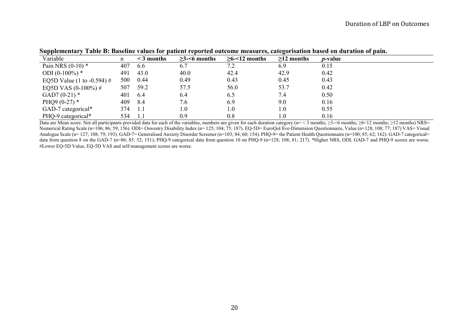| Variable                   | n   | $\leq$ 3 months | $\geq$ 3- $\leq$ 6 months | $\geq$ 6-<12 months | $\geq$ 12 months | <i>p</i> -value |
|----------------------------|-----|-----------------|---------------------------|---------------------|------------------|-----------------|
| Pain NRS $(0-10)$ *        | 407 | 6.6             | 6.7                       | 7.2                 | 6.9              | 0.15            |
| ODI $(0-100\%)$ *          | 491 | 43.0            | 40.0                      | 42.4                | 42.9             | 0.42            |
| EQ5D Value (1 to -0.594) # | 500 | 0.44            | 0.49                      | 0.43                | 0.45             | 0.43            |
| EQ5D VAS $(0-100\%)$ #     | 507 | 59.2            | 57.5                      | 56.0                | 53.7             | 0.42            |
| GAD7 $(0-21)$ *            | 401 | 6.4             | 6.4                       | 6.5                 | 7.4              | 0.50            |
| PHQ9 $(0-27)$ *            | 409 | -8.4            | 7.6                       | 6.9                 | 9.0              | 0.16            |
| GAD-7 categorical*         | 374 | 1.1             | $1.0\,$                   | $1.0\,$             | 1.0              | 0.55            |
| PHQ-9 categorical*         | 534 | 1.1             | 0.9                       | 0.8                 | 1.0              | 0.16            |

**Supplementary Table B: Baseline values for patient reported outcome measures, categorisation based on duration of pain.**

Data are Mean score. Not all participants provided data for each of the variables, numbers are given for each duration category (n= < 3 months;  $\geq$ 3-<6 months;  $\geq$ 6<12 months;  $\geq$ 12 months) NRS= Numerical Rating Scale (n=106; 86; 59; 156). ODI= Oswestry Disability Index (n=125; 104; 75; 187). EQ-5D= EuroQol five-Dimension Questionnaire, Value (n=128; 108; 77; 187) VAS= Visual Analogue Scale (n= 127; 108; 79; 193). GAD-7= Generalised Anxiety Disorder Screener (n=103; 84; 60; 154). PHQ-9= the Patient Health Questionnaire (n=100; 85; 62; 162). GAD-7 categorical= data from question 8 on the GAD-7 (n=86; 85; 52; 151); PHQ-9 categorical data from question 10 on PHQ-9 (n=128; 108; 81; 217). \*Higher NRS, ODI, GAD-7 and PHQ-9 scores are worse. #Lower EQ-5D Value, EQ-5D VAS and self-management scores are worse.